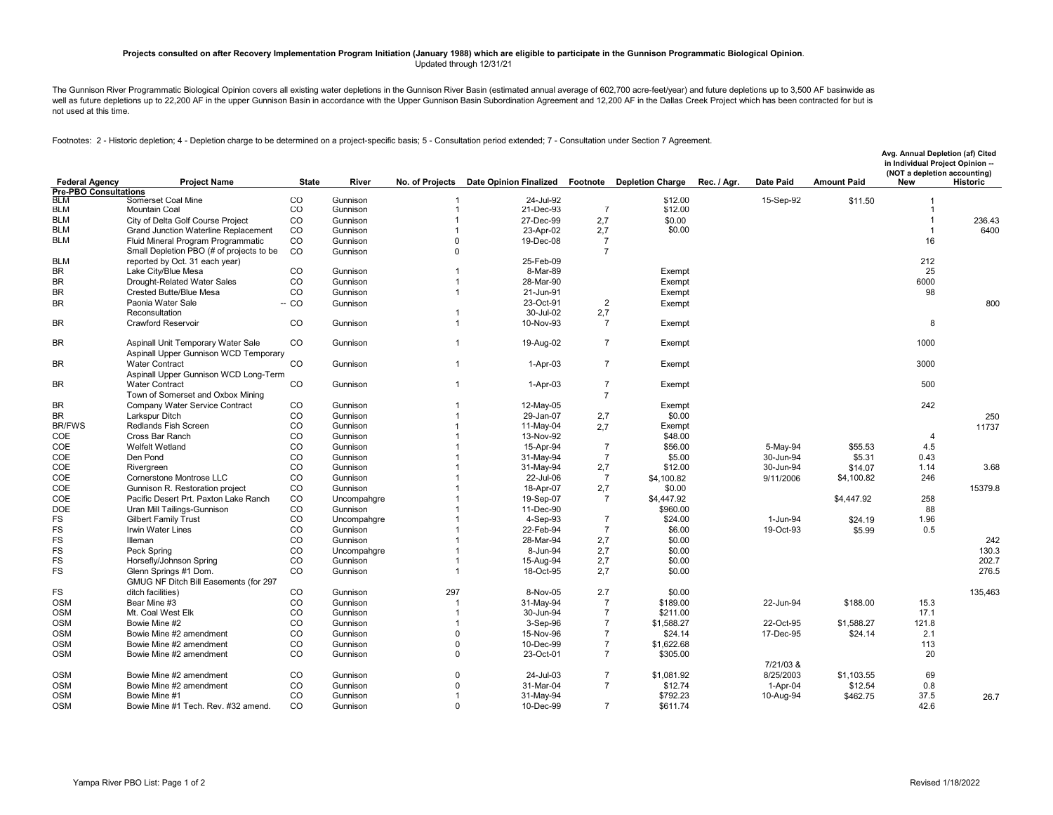## **Projects consulted on after Recovery Implementation Program Initiation (January 1988) which are eligible to participate in the Gunnison Programmatic Biological Opinion**. Updated through 12/31/21

The Gunnison River Programmatic Biological Opinion covers all existing water depletions in the Gunnison River Basin (estimated annual average of 602,700 acre-feet/year) and future depletions up to 3,500 AF basinwide as well as future depletions up to 22,200 AF in the upper Gunnison Basin in accordance with the Upper Gunnison Basin Subordination Agreement and 12,200 AF in the Dallas Creek Project which has been contracted for but is not used at this time.

Footnotes: 2 - Historic depletion; 4 - Depletion charge to be determined on a project-specific basis; 5 - Consultation period extended; 7 - Consultation under Section 7 Agreement.

| <b>Pre-PBO Consultations</b><br>CO<br>BLM<br>Gunnison<br>24-Jul-92<br>15-Sep-92<br>Somerset Coal Mine<br>\$12.00<br>\$11.50<br>CO<br>$\overline{7}$<br><b>BLM</b><br><b>Mountain Coal</b><br>21-Dec-93<br>\$12.00<br>Gunnison<br>1<br><b>BLM</b><br>CO<br>$\mathbf{1}$<br>2,7<br>\$0.00<br>City of Delta Golf Course Project<br>Gunnison<br>27-Dec-99<br>$\overline{1}$<br>236.43<br><b>BLM</b><br>\$0.00<br>6400<br>Grand Junction Waterline Replacement<br>CO<br>Gunnison<br>23-Apr-02<br>2,7<br>$\overline{1}$<br><b>BLM</b><br>16<br>Fluid Mineral Program Programmatic<br>CO<br>$\overline{7}$<br>Gunnison<br>$\Omega$<br>19-Dec-08<br>Small Depletion PBO (# of projects to be<br>CO<br>$\overline{7}$<br>Gunnison<br>$\Omega$<br>25-Feb-09<br>212<br><b>BLM</b><br>reported by Oct. 31 each year)<br>CO<br>25<br><b>BR</b><br>8-Mar-89<br>Lake City/Blue Mesa<br>Gunnison<br>Exempt<br><b>BR</b><br>Drought-Related Water Sales<br>CO<br>28-Mar-90<br>6000<br>Gunnison<br>$\overline{1}$<br>Exempt<br><b>BR</b><br>CO<br>Crested Butte/Blue Mesa<br>Gunnison<br>21-Jun-91<br>Exempt<br>98<br>$\overline{1}$<br>23-Oct-91<br>$\overline{2}$<br><b>BR</b><br>Paonia Water Sale<br>$- CO$<br>800<br>Gunnison<br>Exempt<br>Reconsultation<br>30-Jul-02<br>2,7<br>$\overline{1}$<br>CO<br><b>BR</b><br><b>Crawford Reservoir</b><br>10-Nov-93<br>$\overline{7}$<br>8<br>Gunnison<br>$\overline{1}$<br>Exempt<br>CO<br><b>BR</b><br>Aspinall Unit Temporary Water Sale<br>Gunnison<br>19-Aug-02<br>$\overline{7}$<br>1000<br>$\mathbf{1}$<br>Exempt<br>Aspinall Upper Gunnison WCD Temporary<br>CO<br>$\overline{7}$<br>3000<br>BR<br><b>Water Contract</b><br>Gunnison<br>$\overline{1}$<br>1-Apr-03<br>Exempt<br>Aspinall Upper Gunnison WCD Long-Term<br>CO<br>$\overline{7}$<br>500<br><b>BR</b><br><b>Water Contract</b><br>Gunnison<br>1-Apr-03<br>Exempt<br>$\mathbf{1}$<br>Town of Somerset and Oxbox Mining<br>$\overline{7}$<br>CO<br>Company Water Service Contract<br>242<br><b>BR</b><br>Gunnison<br>12-May-05<br>Exempt<br>$\overline{1}$<br><b>BR</b><br>CO<br>29-Jan-07<br>2,7<br>\$0.00<br>Larkspur Ditch<br>Gunnison<br>$\overline{1}$<br>250<br>Redlands Fish Screen<br>CO<br><b>BR/FWS</b><br>Gunnison<br>11-May-04<br>Exempt<br>2.7<br>11737<br>COE<br>CO<br>\$48.00<br>Cross Bar Ranch<br>Gunnison<br>13-Nov-92<br>$\overline{4}$<br>$\overline{\mathbf{1}}$<br>CO<br>COE<br>Welfelt Wetland<br>15-Apr-94<br>$\overline{7}$<br>\$56.00<br>5-May-94<br>\$55.53<br>4.5<br>Gunnison<br>$\overline{1}$<br>COE<br>CO<br>$\overline{7}$<br>31-May-94<br>\$5.00<br>30-Jun-94<br>\$5.31<br>0.43<br>Den Pond<br>Gunnison<br>COE<br>CO<br>Gunnison<br>31-May-94<br>2,7<br>\$12.00<br>30-Jun-94<br>1.14<br>3.68<br>Rivergreen<br>\$14.07<br>COE<br>CO<br>$\overline{7}$<br>Cornerstone Montrose LLC<br>Gunnison<br>22-Jul-06<br>\$4,100.82<br>246<br>$\overline{1}$<br>\$4,100.82<br>9/11/2006<br>COE<br>Gunnison R. Restoration project<br>CO<br>18-Apr-07<br>2,7<br>15379.8<br>Gunnison<br>$\overline{1}$<br>\$0.00<br>COE<br>CO<br>258<br>$\overline{7}$<br>Pacific Desert Prt. Paxton Lake Ranch<br>19-Sep-07<br>\$4,447.92<br>\$4,447.92<br>Uncompahgre<br><b>DOE</b><br>CO<br>\$960.00<br>88<br>Uran Mill Tailings-Gunnison<br>Gunnison<br>11-Dec-90<br>FS<br>CO<br><b>Gilbert Family Trust</b><br>4-Sep-93<br>$\overline{7}$<br>\$24.00<br>1.96<br>Uncompahgre<br>1-Jun-94<br>\$24.19<br>FS<br>Irwin Water Lines<br>CO<br>22-Feb-94<br>$\overline{7}$<br>\$6.00<br>19-Oct-93<br>0.5<br>Gunnison<br>$\overline{1}$<br>\$5.99<br>FS<br>CO<br>2,7<br>242<br>\$0.00<br>Illeman<br>Gunnison<br>28-Mar-94<br><b>FS</b><br>CO<br>\$0.00<br>130.3<br>Peck Spring<br>8-Jun-94<br>2.7<br>Uncompahgre<br>$\overline{1}$<br>FS<br>CO<br>\$0.00<br>202.7<br>Gunnison<br>15-Aug-94<br>2,7<br>Horsefly/Johnson Spring<br>$\overline{1}$<br>FS<br>CO<br>18-Oct-95<br>2.7<br>\$0.00<br>276.5<br>Glenn Springs #1 Dom.<br>Gunnison<br>$\overline{1}$<br>GMUG NF Ditch Bill Easements (for 297<br>CO<br>297<br>2.7<br><b>FS</b><br>ditch facilities)<br>Gunnison<br>8-Nov-05<br>\$0.00<br>135.463<br><b>OSM</b><br>CO<br>$\overline{7}$<br>Bear Mine #3<br>31-May-94<br>\$189.00<br>\$188.00<br>15.3<br>Gunnison<br>22-Jun-94<br><b>OSM</b><br>Mt. Coal West Elk<br>CO<br>30-Jun-94<br>$\overline{7}$<br>\$211.00<br>17.1<br>Gunnison<br>$\overline{1}$<br>$\overline{7}$<br><b>OSM</b><br>CO<br>22-Oct-95<br>Bowie Mine #2<br>Gunnison<br>3-Sep-96<br>\$1,588.27<br>\$1,588.27<br>121.8<br>$\overline{1}$<br><b>OSM</b><br>CO<br>$\overline{7}$<br>Bowie Mine #2 amendment<br>Gunnison<br>$\mathbf 0$<br>15-Nov-96<br>\$24.14<br>17-Dec-95<br>\$24.14<br>2.1<br>CO<br>$\mathbf 0$<br>$\overline{7}$<br>113<br><b>OSM</b><br>Bowie Mine #2 amendment<br>Gunnison<br>10-Dec-99<br>\$1,622.68<br><b>OSM</b><br>Bowie Mine #2 amendment<br>CO<br>$\mathbf 0$<br>23-Oct-01<br>$\overline{7}$<br>\$305.00<br>20<br>Gunnison<br>7/21/03 &<br>CO<br>8/25/2003<br>69<br><b>OSM</b><br>Bowie Mine #2 amendment<br>Gunnison<br>0<br>24-Jul-03<br>$\overline{7}$<br>\$1.081.92<br>\$1.103.55<br><b>OSM</b><br>CO<br>$\overline{7}$<br>0.8<br>Bowie Mine #2 amendment<br>Gunnison<br>$\Omega$<br>31-Mar-04<br>\$12.74<br>1-Apr-04<br>\$12.54<br><b>OSM</b><br>CO<br>\$792.23<br>37.5<br>Bowie Mine #1<br>Gunnison<br>$\overline{1}$<br>31-May-94<br>10-Aug-94<br>\$462.75<br>26.7<br>CO<br><b>OSM</b><br>Bowie Mine #1 Tech. Rev. #32 amend.<br>$\Omega$<br>10-Dec-99<br>$\overline{7}$<br>\$611.74<br>42.6<br>Gunnison | <b>Federal Agency</b> | <b>Project Name</b> | <b>State</b> | River | No. of Projects | <b>Date Opinion Finalized</b> | Footnote | <b>Depletion Charge</b> | Rec. / Agr. | <b>Date Paid</b> | <b>Amount Paid</b> | Avg. Annual Depletion (af) Cited<br>in Individual Project Opinion --<br>(NOT a depletion accounting)<br><b>New</b><br><b>Historic</b> |  |
|-------------------------------------------------------------------------------------------------------------------------------------------------------------------------------------------------------------------------------------------------------------------------------------------------------------------------------------------------------------------------------------------------------------------------------------------------------------------------------------------------------------------------------------------------------------------------------------------------------------------------------------------------------------------------------------------------------------------------------------------------------------------------------------------------------------------------------------------------------------------------------------------------------------------------------------------------------------------------------------------------------------------------------------------------------------------------------------------------------------------------------------------------------------------------------------------------------------------------------------------------------------------------------------------------------------------------------------------------------------------------------------------------------------------------------------------------------------------------------------------------------------------------------------------------------------------------------------------------------------------------------------------------------------------------------------------------------------------------------------------------------------------------------------------------------------------------------------------------------------------------------------------------------------------------------------------------------------------------------------------------------------------------------------------------------------------------------------------------------------------------------------------------------------------------------------------------------------------------------------------------------------------------------------------------------------------------------------------------------------------------------------------------------------------------------------------------------------------------------------------------------------------------------------------------------------------------------------------------------------------------------------------------------------------------------------------------------------------------------------------------------------------------------------------------------------------------------------------------------------------------------------------------------------------------------------------------------------------------------------------------------------------------------------------------------------------------------------------------------------------------------------------------------------------------------------------------------------------------------------------------------------------------------------------------------------------------------------------------------------------------------------------------------------------------------------------------------------------------------------------------------------------------------------------------------------------------------------------------------------------------------------------------------------------------------------------------------------------------------------------------------------------------------------------------------------------------------------------------------------------------------------------------------------------------------------------------------------------------------------------------------------------------------------------------------------------------------------------------------------------------------------------------------------------------------------------------------------------------------------------------------------------------------------------------------------------------------------------------------------------------------------------------------------------------------------------------------------------------------------------------------------------------------------------------------------------------------------------------------------------------------------------------------------------------------------------------------------------------------------------------------------------------------------------------------------------------------------------------------------------------------------------------------------------------------------------------------------------------------------------------------------------------------------------------------------------------------------------------------------------------------------------------------------------------------------------------------------------------------------------------------------------------------------------------------------------------------------------------------------------------------------------------------------------------------------------------------------------------------------------------------------|-----------------------|---------------------|--------------|-------|-----------------|-------------------------------|----------|-------------------------|-------------|------------------|--------------------|---------------------------------------------------------------------------------------------------------------------------------------|--|
|                                                                                                                                                                                                                                                                                                                                                                                                                                                                                                                                                                                                                                                                                                                                                                                                                                                                                                                                                                                                                                                                                                                                                                                                                                                                                                                                                                                                                                                                                                                                                                                                                                                                                                                                                                                                                                                                                                                                                                                                                                                                                                                                                                                                                                                                                                                                                                                                                                                                                                                                                                                                                                                                                                                                                                                                                                                                                                                                                                                                                                                                                                                                                                                                                                                                                                                                                                                                                                                                                                                                                                                                                                                                                                                                                                                                                                                                                                                                                                                                                                                                                                                                                                                                                                                                                                                                                                                                                                                                                                                                                                                                                                                                                                                                                                                                                                                                                                                                                                                                                                                                                                                                                                                                                                                                                                                                                                                                                                                                                                             |                       |                     |              |       |                 |                               |          |                         |             |                  |                    |                                                                                                                                       |  |
|                                                                                                                                                                                                                                                                                                                                                                                                                                                                                                                                                                                                                                                                                                                                                                                                                                                                                                                                                                                                                                                                                                                                                                                                                                                                                                                                                                                                                                                                                                                                                                                                                                                                                                                                                                                                                                                                                                                                                                                                                                                                                                                                                                                                                                                                                                                                                                                                                                                                                                                                                                                                                                                                                                                                                                                                                                                                                                                                                                                                                                                                                                                                                                                                                                                                                                                                                                                                                                                                                                                                                                                                                                                                                                                                                                                                                                                                                                                                                                                                                                                                                                                                                                                                                                                                                                                                                                                                                                                                                                                                                                                                                                                                                                                                                                                                                                                                                                                                                                                                                                                                                                                                                                                                                                                                                                                                                                                                                                                                                                             |                       |                     |              |       |                 |                               |          |                         |             |                  |                    |                                                                                                                                       |  |
|                                                                                                                                                                                                                                                                                                                                                                                                                                                                                                                                                                                                                                                                                                                                                                                                                                                                                                                                                                                                                                                                                                                                                                                                                                                                                                                                                                                                                                                                                                                                                                                                                                                                                                                                                                                                                                                                                                                                                                                                                                                                                                                                                                                                                                                                                                                                                                                                                                                                                                                                                                                                                                                                                                                                                                                                                                                                                                                                                                                                                                                                                                                                                                                                                                                                                                                                                                                                                                                                                                                                                                                                                                                                                                                                                                                                                                                                                                                                                                                                                                                                                                                                                                                                                                                                                                                                                                                                                                                                                                                                                                                                                                                                                                                                                                                                                                                                                                                                                                                                                                                                                                                                                                                                                                                                                                                                                                                                                                                                                                             |                       |                     |              |       |                 |                               |          |                         |             |                  |                    |                                                                                                                                       |  |
|                                                                                                                                                                                                                                                                                                                                                                                                                                                                                                                                                                                                                                                                                                                                                                                                                                                                                                                                                                                                                                                                                                                                                                                                                                                                                                                                                                                                                                                                                                                                                                                                                                                                                                                                                                                                                                                                                                                                                                                                                                                                                                                                                                                                                                                                                                                                                                                                                                                                                                                                                                                                                                                                                                                                                                                                                                                                                                                                                                                                                                                                                                                                                                                                                                                                                                                                                                                                                                                                                                                                                                                                                                                                                                                                                                                                                                                                                                                                                                                                                                                                                                                                                                                                                                                                                                                                                                                                                                                                                                                                                                                                                                                                                                                                                                                                                                                                                                                                                                                                                                                                                                                                                                                                                                                                                                                                                                                                                                                                                                             |                       |                     |              |       |                 |                               |          |                         |             |                  |                    |                                                                                                                                       |  |
|                                                                                                                                                                                                                                                                                                                                                                                                                                                                                                                                                                                                                                                                                                                                                                                                                                                                                                                                                                                                                                                                                                                                                                                                                                                                                                                                                                                                                                                                                                                                                                                                                                                                                                                                                                                                                                                                                                                                                                                                                                                                                                                                                                                                                                                                                                                                                                                                                                                                                                                                                                                                                                                                                                                                                                                                                                                                                                                                                                                                                                                                                                                                                                                                                                                                                                                                                                                                                                                                                                                                                                                                                                                                                                                                                                                                                                                                                                                                                                                                                                                                                                                                                                                                                                                                                                                                                                                                                                                                                                                                                                                                                                                                                                                                                                                                                                                                                                                                                                                                                                                                                                                                                                                                                                                                                                                                                                                                                                                                                                             |                       |                     |              |       |                 |                               |          |                         |             |                  |                    |                                                                                                                                       |  |
|                                                                                                                                                                                                                                                                                                                                                                                                                                                                                                                                                                                                                                                                                                                                                                                                                                                                                                                                                                                                                                                                                                                                                                                                                                                                                                                                                                                                                                                                                                                                                                                                                                                                                                                                                                                                                                                                                                                                                                                                                                                                                                                                                                                                                                                                                                                                                                                                                                                                                                                                                                                                                                                                                                                                                                                                                                                                                                                                                                                                                                                                                                                                                                                                                                                                                                                                                                                                                                                                                                                                                                                                                                                                                                                                                                                                                                                                                                                                                                                                                                                                                                                                                                                                                                                                                                                                                                                                                                                                                                                                                                                                                                                                                                                                                                                                                                                                                                                                                                                                                                                                                                                                                                                                                                                                                                                                                                                                                                                                                                             |                       |                     |              |       |                 |                               |          |                         |             |                  |                    |                                                                                                                                       |  |
|                                                                                                                                                                                                                                                                                                                                                                                                                                                                                                                                                                                                                                                                                                                                                                                                                                                                                                                                                                                                                                                                                                                                                                                                                                                                                                                                                                                                                                                                                                                                                                                                                                                                                                                                                                                                                                                                                                                                                                                                                                                                                                                                                                                                                                                                                                                                                                                                                                                                                                                                                                                                                                                                                                                                                                                                                                                                                                                                                                                                                                                                                                                                                                                                                                                                                                                                                                                                                                                                                                                                                                                                                                                                                                                                                                                                                                                                                                                                                                                                                                                                                                                                                                                                                                                                                                                                                                                                                                                                                                                                                                                                                                                                                                                                                                                                                                                                                                                                                                                                                                                                                                                                                                                                                                                                                                                                                                                                                                                                                                             |                       |                     |              |       |                 |                               |          |                         |             |                  |                    |                                                                                                                                       |  |
|                                                                                                                                                                                                                                                                                                                                                                                                                                                                                                                                                                                                                                                                                                                                                                                                                                                                                                                                                                                                                                                                                                                                                                                                                                                                                                                                                                                                                                                                                                                                                                                                                                                                                                                                                                                                                                                                                                                                                                                                                                                                                                                                                                                                                                                                                                                                                                                                                                                                                                                                                                                                                                                                                                                                                                                                                                                                                                                                                                                                                                                                                                                                                                                                                                                                                                                                                                                                                                                                                                                                                                                                                                                                                                                                                                                                                                                                                                                                                                                                                                                                                                                                                                                                                                                                                                                                                                                                                                                                                                                                                                                                                                                                                                                                                                                                                                                                                                                                                                                                                                                                                                                                                                                                                                                                                                                                                                                                                                                                                                             |                       |                     |              |       |                 |                               |          |                         |             |                  |                    |                                                                                                                                       |  |
|                                                                                                                                                                                                                                                                                                                                                                                                                                                                                                                                                                                                                                                                                                                                                                                                                                                                                                                                                                                                                                                                                                                                                                                                                                                                                                                                                                                                                                                                                                                                                                                                                                                                                                                                                                                                                                                                                                                                                                                                                                                                                                                                                                                                                                                                                                                                                                                                                                                                                                                                                                                                                                                                                                                                                                                                                                                                                                                                                                                                                                                                                                                                                                                                                                                                                                                                                                                                                                                                                                                                                                                                                                                                                                                                                                                                                                                                                                                                                                                                                                                                                                                                                                                                                                                                                                                                                                                                                                                                                                                                                                                                                                                                                                                                                                                                                                                                                                                                                                                                                                                                                                                                                                                                                                                                                                                                                                                                                                                                                                             |                       |                     |              |       |                 |                               |          |                         |             |                  |                    |                                                                                                                                       |  |
|                                                                                                                                                                                                                                                                                                                                                                                                                                                                                                                                                                                                                                                                                                                                                                                                                                                                                                                                                                                                                                                                                                                                                                                                                                                                                                                                                                                                                                                                                                                                                                                                                                                                                                                                                                                                                                                                                                                                                                                                                                                                                                                                                                                                                                                                                                                                                                                                                                                                                                                                                                                                                                                                                                                                                                                                                                                                                                                                                                                                                                                                                                                                                                                                                                                                                                                                                                                                                                                                                                                                                                                                                                                                                                                                                                                                                                                                                                                                                                                                                                                                                                                                                                                                                                                                                                                                                                                                                                                                                                                                                                                                                                                                                                                                                                                                                                                                                                                                                                                                                                                                                                                                                                                                                                                                                                                                                                                                                                                                                                             |                       |                     |              |       |                 |                               |          |                         |             |                  |                    |                                                                                                                                       |  |
|                                                                                                                                                                                                                                                                                                                                                                                                                                                                                                                                                                                                                                                                                                                                                                                                                                                                                                                                                                                                                                                                                                                                                                                                                                                                                                                                                                                                                                                                                                                                                                                                                                                                                                                                                                                                                                                                                                                                                                                                                                                                                                                                                                                                                                                                                                                                                                                                                                                                                                                                                                                                                                                                                                                                                                                                                                                                                                                                                                                                                                                                                                                                                                                                                                                                                                                                                                                                                                                                                                                                                                                                                                                                                                                                                                                                                                                                                                                                                                                                                                                                                                                                                                                                                                                                                                                                                                                                                                                                                                                                                                                                                                                                                                                                                                                                                                                                                                                                                                                                                                                                                                                                                                                                                                                                                                                                                                                                                                                                                                             |                       |                     |              |       |                 |                               |          |                         |             |                  |                    |                                                                                                                                       |  |
|                                                                                                                                                                                                                                                                                                                                                                                                                                                                                                                                                                                                                                                                                                                                                                                                                                                                                                                                                                                                                                                                                                                                                                                                                                                                                                                                                                                                                                                                                                                                                                                                                                                                                                                                                                                                                                                                                                                                                                                                                                                                                                                                                                                                                                                                                                                                                                                                                                                                                                                                                                                                                                                                                                                                                                                                                                                                                                                                                                                                                                                                                                                                                                                                                                                                                                                                                                                                                                                                                                                                                                                                                                                                                                                                                                                                                                                                                                                                                                                                                                                                                                                                                                                                                                                                                                                                                                                                                                                                                                                                                                                                                                                                                                                                                                                                                                                                                                                                                                                                                                                                                                                                                                                                                                                                                                                                                                                                                                                                                                             |                       |                     |              |       |                 |                               |          |                         |             |                  |                    |                                                                                                                                       |  |
|                                                                                                                                                                                                                                                                                                                                                                                                                                                                                                                                                                                                                                                                                                                                                                                                                                                                                                                                                                                                                                                                                                                                                                                                                                                                                                                                                                                                                                                                                                                                                                                                                                                                                                                                                                                                                                                                                                                                                                                                                                                                                                                                                                                                                                                                                                                                                                                                                                                                                                                                                                                                                                                                                                                                                                                                                                                                                                                                                                                                                                                                                                                                                                                                                                                                                                                                                                                                                                                                                                                                                                                                                                                                                                                                                                                                                                                                                                                                                                                                                                                                                                                                                                                                                                                                                                                                                                                                                                                                                                                                                                                                                                                                                                                                                                                                                                                                                                                                                                                                                                                                                                                                                                                                                                                                                                                                                                                                                                                                                                             |                       |                     |              |       |                 |                               |          |                         |             |                  |                    |                                                                                                                                       |  |
|                                                                                                                                                                                                                                                                                                                                                                                                                                                                                                                                                                                                                                                                                                                                                                                                                                                                                                                                                                                                                                                                                                                                                                                                                                                                                                                                                                                                                                                                                                                                                                                                                                                                                                                                                                                                                                                                                                                                                                                                                                                                                                                                                                                                                                                                                                                                                                                                                                                                                                                                                                                                                                                                                                                                                                                                                                                                                                                                                                                                                                                                                                                                                                                                                                                                                                                                                                                                                                                                                                                                                                                                                                                                                                                                                                                                                                                                                                                                                                                                                                                                                                                                                                                                                                                                                                                                                                                                                                                                                                                                                                                                                                                                                                                                                                                                                                                                                                                                                                                                                                                                                                                                                                                                                                                                                                                                                                                                                                                                                                             |                       |                     |              |       |                 |                               |          |                         |             |                  |                    |                                                                                                                                       |  |
|                                                                                                                                                                                                                                                                                                                                                                                                                                                                                                                                                                                                                                                                                                                                                                                                                                                                                                                                                                                                                                                                                                                                                                                                                                                                                                                                                                                                                                                                                                                                                                                                                                                                                                                                                                                                                                                                                                                                                                                                                                                                                                                                                                                                                                                                                                                                                                                                                                                                                                                                                                                                                                                                                                                                                                                                                                                                                                                                                                                                                                                                                                                                                                                                                                                                                                                                                                                                                                                                                                                                                                                                                                                                                                                                                                                                                                                                                                                                                                                                                                                                                                                                                                                                                                                                                                                                                                                                                                                                                                                                                                                                                                                                                                                                                                                                                                                                                                                                                                                                                                                                                                                                                                                                                                                                                                                                                                                                                                                                                                             |                       |                     |              |       |                 |                               |          |                         |             |                  |                    |                                                                                                                                       |  |
|                                                                                                                                                                                                                                                                                                                                                                                                                                                                                                                                                                                                                                                                                                                                                                                                                                                                                                                                                                                                                                                                                                                                                                                                                                                                                                                                                                                                                                                                                                                                                                                                                                                                                                                                                                                                                                                                                                                                                                                                                                                                                                                                                                                                                                                                                                                                                                                                                                                                                                                                                                                                                                                                                                                                                                                                                                                                                                                                                                                                                                                                                                                                                                                                                                                                                                                                                                                                                                                                                                                                                                                                                                                                                                                                                                                                                                                                                                                                                                                                                                                                                                                                                                                                                                                                                                                                                                                                                                                                                                                                                                                                                                                                                                                                                                                                                                                                                                                                                                                                                                                                                                                                                                                                                                                                                                                                                                                                                                                                                                             |                       |                     |              |       |                 |                               |          |                         |             |                  |                    |                                                                                                                                       |  |
|                                                                                                                                                                                                                                                                                                                                                                                                                                                                                                                                                                                                                                                                                                                                                                                                                                                                                                                                                                                                                                                                                                                                                                                                                                                                                                                                                                                                                                                                                                                                                                                                                                                                                                                                                                                                                                                                                                                                                                                                                                                                                                                                                                                                                                                                                                                                                                                                                                                                                                                                                                                                                                                                                                                                                                                                                                                                                                                                                                                                                                                                                                                                                                                                                                                                                                                                                                                                                                                                                                                                                                                                                                                                                                                                                                                                                                                                                                                                                                                                                                                                                                                                                                                                                                                                                                                                                                                                                                                                                                                                                                                                                                                                                                                                                                                                                                                                                                                                                                                                                                                                                                                                                                                                                                                                                                                                                                                                                                                                                                             |                       |                     |              |       |                 |                               |          |                         |             |                  |                    |                                                                                                                                       |  |
|                                                                                                                                                                                                                                                                                                                                                                                                                                                                                                                                                                                                                                                                                                                                                                                                                                                                                                                                                                                                                                                                                                                                                                                                                                                                                                                                                                                                                                                                                                                                                                                                                                                                                                                                                                                                                                                                                                                                                                                                                                                                                                                                                                                                                                                                                                                                                                                                                                                                                                                                                                                                                                                                                                                                                                                                                                                                                                                                                                                                                                                                                                                                                                                                                                                                                                                                                                                                                                                                                                                                                                                                                                                                                                                                                                                                                                                                                                                                                                                                                                                                                                                                                                                                                                                                                                                                                                                                                                                                                                                                                                                                                                                                                                                                                                                                                                                                                                                                                                                                                                                                                                                                                                                                                                                                                                                                                                                                                                                                                                             |                       |                     |              |       |                 |                               |          |                         |             |                  |                    |                                                                                                                                       |  |
|                                                                                                                                                                                                                                                                                                                                                                                                                                                                                                                                                                                                                                                                                                                                                                                                                                                                                                                                                                                                                                                                                                                                                                                                                                                                                                                                                                                                                                                                                                                                                                                                                                                                                                                                                                                                                                                                                                                                                                                                                                                                                                                                                                                                                                                                                                                                                                                                                                                                                                                                                                                                                                                                                                                                                                                                                                                                                                                                                                                                                                                                                                                                                                                                                                                                                                                                                                                                                                                                                                                                                                                                                                                                                                                                                                                                                                                                                                                                                                                                                                                                                                                                                                                                                                                                                                                                                                                                                                                                                                                                                                                                                                                                                                                                                                                                                                                                                                                                                                                                                                                                                                                                                                                                                                                                                                                                                                                                                                                                                                             |                       |                     |              |       |                 |                               |          |                         |             |                  |                    |                                                                                                                                       |  |
|                                                                                                                                                                                                                                                                                                                                                                                                                                                                                                                                                                                                                                                                                                                                                                                                                                                                                                                                                                                                                                                                                                                                                                                                                                                                                                                                                                                                                                                                                                                                                                                                                                                                                                                                                                                                                                                                                                                                                                                                                                                                                                                                                                                                                                                                                                                                                                                                                                                                                                                                                                                                                                                                                                                                                                                                                                                                                                                                                                                                                                                                                                                                                                                                                                                                                                                                                                                                                                                                                                                                                                                                                                                                                                                                                                                                                                                                                                                                                                                                                                                                                                                                                                                                                                                                                                                                                                                                                                                                                                                                                                                                                                                                                                                                                                                                                                                                                                                                                                                                                                                                                                                                                                                                                                                                                                                                                                                                                                                                                                             |                       |                     |              |       |                 |                               |          |                         |             |                  |                    |                                                                                                                                       |  |
|                                                                                                                                                                                                                                                                                                                                                                                                                                                                                                                                                                                                                                                                                                                                                                                                                                                                                                                                                                                                                                                                                                                                                                                                                                                                                                                                                                                                                                                                                                                                                                                                                                                                                                                                                                                                                                                                                                                                                                                                                                                                                                                                                                                                                                                                                                                                                                                                                                                                                                                                                                                                                                                                                                                                                                                                                                                                                                                                                                                                                                                                                                                                                                                                                                                                                                                                                                                                                                                                                                                                                                                                                                                                                                                                                                                                                                                                                                                                                                                                                                                                                                                                                                                                                                                                                                                                                                                                                                                                                                                                                                                                                                                                                                                                                                                                                                                                                                                                                                                                                                                                                                                                                                                                                                                                                                                                                                                                                                                                                                             |                       |                     |              |       |                 |                               |          |                         |             |                  |                    |                                                                                                                                       |  |
|                                                                                                                                                                                                                                                                                                                                                                                                                                                                                                                                                                                                                                                                                                                                                                                                                                                                                                                                                                                                                                                                                                                                                                                                                                                                                                                                                                                                                                                                                                                                                                                                                                                                                                                                                                                                                                                                                                                                                                                                                                                                                                                                                                                                                                                                                                                                                                                                                                                                                                                                                                                                                                                                                                                                                                                                                                                                                                                                                                                                                                                                                                                                                                                                                                                                                                                                                                                                                                                                                                                                                                                                                                                                                                                                                                                                                                                                                                                                                                                                                                                                                                                                                                                                                                                                                                                                                                                                                                                                                                                                                                                                                                                                                                                                                                                                                                                                                                                                                                                                                                                                                                                                                                                                                                                                                                                                                                                                                                                                                                             |                       |                     |              |       |                 |                               |          |                         |             |                  |                    |                                                                                                                                       |  |
|                                                                                                                                                                                                                                                                                                                                                                                                                                                                                                                                                                                                                                                                                                                                                                                                                                                                                                                                                                                                                                                                                                                                                                                                                                                                                                                                                                                                                                                                                                                                                                                                                                                                                                                                                                                                                                                                                                                                                                                                                                                                                                                                                                                                                                                                                                                                                                                                                                                                                                                                                                                                                                                                                                                                                                                                                                                                                                                                                                                                                                                                                                                                                                                                                                                                                                                                                                                                                                                                                                                                                                                                                                                                                                                                                                                                                                                                                                                                                                                                                                                                                                                                                                                                                                                                                                                                                                                                                                                                                                                                                                                                                                                                                                                                                                                                                                                                                                                                                                                                                                                                                                                                                                                                                                                                                                                                                                                                                                                                                                             |                       |                     |              |       |                 |                               |          |                         |             |                  |                    |                                                                                                                                       |  |
|                                                                                                                                                                                                                                                                                                                                                                                                                                                                                                                                                                                                                                                                                                                                                                                                                                                                                                                                                                                                                                                                                                                                                                                                                                                                                                                                                                                                                                                                                                                                                                                                                                                                                                                                                                                                                                                                                                                                                                                                                                                                                                                                                                                                                                                                                                                                                                                                                                                                                                                                                                                                                                                                                                                                                                                                                                                                                                                                                                                                                                                                                                                                                                                                                                                                                                                                                                                                                                                                                                                                                                                                                                                                                                                                                                                                                                                                                                                                                                                                                                                                                                                                                                                                                                                                                                                                                                                                                                                                                                                                                                                                                                                                                                                                                                                                                                                                                                                                                                                                                                                                                                                                                                                                                                                                                                                                                                                                                                                                                                             |                       |                     |              |       |                 |                               |          |                         |             |                  |                    |                                                                                                                                       |  |
|                                                                                                                                                                                                                                                                                                                                                                                                                                                                                                                                                                                                                                                                                                                                                                                                                                                                                                                                                                                                                                                                                                                                                                                                                                                                                                                                                                                                                                                                                                                                                                                                                                                                                                                                                                                                                                                                                                                                                                                                                                                                                                                                                                                                                                                                                                                                                                                                                                                                                                                                                                                                                                                                                                                                                                                                                                                                                                                                                                                                                                                                                                                                                                                                                                                                                                                                                                                                                                                                                                                                                                                                                                                                                                                                                                                                                                                                                                                                                                                                                                                                                                                                                                                                                                                                                                                                                                                                                                                                                                                                                                                                                                                                                                                                                                                                                                                                                                                                                                                                                                                                                                                                                                                                                                                                                                                                                                                                                                                                                                             |                       |                     |              |       |                 |                               |          |                         |             |                  |                    |                                                                                                                                       |  |
|                                                                                                                                                                                                                                                                                                                                                                                                                                                                                                                                                                                                                                                                                                                                                                                                                                                                                                                                                                                                                                                                                                                                                                                                                                                                                                                                                                                                                                                                                                                                                                                                                                                                                                                                                                                                                                                                                                                                                                                                                                                                                                                                                                                                                                                                                                                                                                                                                                                                                                                                                                                                                                                                                                                                                                                                                                                                                                                                                                                                                                                                                                                                                                                                                                                                                                                                                                                                                                                                                                                                                                                                                                                                                                                                                                                                                                                                                                                                                                                                                                                                                                                                                                                                                                                                                                                                                                                                                                                                                                                                                                                                                                                                                                                                                                                                                                                                                                                                                                                                                                                                                                                                                                                                                                                                                                                                                                                                                                                                                                             |                       |                     |              |       |                 |                               |          |                         |             |                  |                    |                                                                                                                                       |  |
|                                                                                                                                                                                                                                                                                                                                                                                                                                                                                                                                                                                                                                                                                                                                                                                                                                                                                                                                                                                                                                                                                                                                                                                                                                                                                                                                                                                                                                                                                                                                                                                                                                                                                                                                                                                                                                                                                                                                                                                                                                                                                                                                                                                                                                                                                                                                                                                                                                                                                                                                                                                                                                                                                                                                                                                                                                                                                                                                                                                                                                                                                                                                                                                                                                                                                                                                                                                                                                                                                                                                                                                                                                                                                                                                                                                                                                                                                                                                                                                                                                                                                                                                                                                                                                                                                                                                                                                                                                                                                                                                                                                                                                                                                                                                                                                                                                                                                                                                                                                                                                                                                                                                                                                                                                                                                                                                                                                                                                                                                                             |                       |                     |              |       |                 |                               |          |                         |             |                  |                    |                                                                                                                                       |  |
|                                                                                                                                                                                                                                                                                                                                                                                                                                                                                                                                                                                                                                                                                                                                                                                                                                                                                                                                                                                                                                                                                                                                                                                                                                                                                                                                                                                                                                                                                                                                                                                                                                                                                                                                                                                                                                                                                                                                                                                                                                                                                                                                                                                                                                                                                                                                                                                                                                                                                                                                                                                                                                                                                                                                                                                                                                                                                                                                                                                                                                                                                                                                                                                                                                                                                                                                                                                                                                                                                                                                                                                                                                                                                                                                                                                                                                                                                                                                                                                                                                                                                                                                                                                                                                                                                                                                                                                                                                                                                                                                                                                                                                                                                                                                                                                                                                                                                                                                                                                                                                                                                                                                                                                                                                                                                                                                                                                                                                                                                                             |                       |                     |              |       |                 |                               |          |                         |             |                  |                    |                                                                                                                                       |  |
|                                                                                                                                                                                                                                                                                                                                                                                                                                                                                                                                                                                                                                                                                                                                                                                                                                                                                                                                                                                                                                                                                                                                                                                                                                                                                                                                                                                                                                                                                                                                                                                                                                                                                                                                                                                                                                                                                                                                                                                                                                                                                                                                                                                                                                                                                                                                                                                                                                                                                                                                                                                                                                                                                                                                                                                                                                                                                                                                                                                                                                                                                                                                                                                                                                                                                                                                                                                                                                                                                                                                                                                                                                                                                                                                                                                                                                                                                                                                                                                                                                                                                                                                                                                                                                                                                                                                                                                                                                                                                                                                                                                                                                                                                                                                                                                                                                                                                                                                                                                                                                                                                                                                                                                                                                                                                                                                                                                                                                                                                                             |                       |                     |              |       |                 |                               |          |                         |             |                  |                    |                                                                                                                                       |  |
|                                                                                                                                                                                                                                                                                                                                                                                                                                                                                                                                                                                                                                                                                                                                                                                                                                                                                                                                                                                                                                                                                                                                                                                                                                                                                                                                                                                                                                                                                                                                                                                                                                                                                                                                                                                                                                                                                                                                                                                                                                                                                                                                                                                                                                                                                                                                                                                                                                                                                                                                                                                                                                                                                                                                                                                                                                                                                                                                                                                                                                                                                                                                                                                                                                                                                                                                                                                                                                                                                                                                                                                                                                                                                                                                                                                                                                                                                                                                                                                                                                                                                                                                                                                                                                                                                                                                                                                                                                                                                                                                                                                                                                                                                                                                                                                                                                                                                                                                                                                                                                                                                                                                                                                                                                                                                                                                                                                                                                                                                                             |                       |                     |              |       |                 |                               |          |                         |             |                  |                    |                                                                                                                                       |  |
|                                                                                                                                                                                                                                                                                                                                                                                                                                                                                                                                                                                                                                                                                                                                                                                                                                                                                                                                                                                                                                                                                                                                                                                                                                                                                                                                                                                                                                                                                                                                                                                                                                                                                                                                                                                                                                                                                                                                                                                                                                                                                                                                                                                                                                                                                                                                                                                                                                                                                                                                                                                                                                                                                                                                                                                                                                                                                                                                                                                                                                                                                                                                                                                                                                                                                                                                                                                                                                                                                                                                                                                                                                                                                                                                                                                                                                                                                                                                                                                                                                                                                                                                                                                                                                                                                                                                                                                                                                                                                                                                                                                                                                                                                                                                                                                                                                                                                                                                                                                                                                                                                                                                                                                                                                                                                                                                                                                                                                                                                                             |                       |                     |              |       |                 |                               |          |                         |             |                  |                    |                                                                                                                                       |  |
|                                                                                                                                                                                                                                                                                                                                                                                                                                                                                                                                                                                                                                                                                                                                                                                                                                                                                                                                                                                                                                                                                                                                                                                                                                                                                                                                                                                                                                                                                                                                                                                                                                                                                                                                                                                                                                                                                                                                                                                                                                                                                                                                                                                                                                                                                                                                                                                                                                                                                                                                                                                                                                                                                                                                                                                                                                                                                                                                                                                                                                                                                                                                                                                                                                                                                                                                                                                                                                                                                                                                                                                                                                                                                                                                                                                                                                                                                                                                                                                                                                                                                                                                                                                                                                                                                                                                                                                                                                                                                                                                                                                                                                                                                                                                                                                                                                                                                                                                                                                                                                                                                                                                                                                                                                                                                                                                                                                                                                                                                                             |                       |                     |              |       |                 |                               |          |                         |             |                  |                    |                                                                                                                                       |  |
|                                                                                                                                                                                                                                                                                                                                                                                                                                                                                                                                                                                                                                                                                                                                                                                                                                                                                                                                                                                                                                                                                                                                                                                                                                                                                                                                                                                                                                                                                                                                                                                                                                                                                                                                                                                                                                                                                                                                                                                                                                                                                                                                                                                                                                                                                                                                                                                                                                                                                                                                                                                                                                                                                                                                                                                                                                                                                                                                                                                                                                                                                                                                                                                                                                                                                                                                                                                                                                                                                                                                                                                                                                                                                                                                                                                                                                                                                                                                                                                                                                                                                                                                                                                                                                                                                                                                                                                                                                                                                                                                                                                                                                                                                                                                                                                                                                                                                                                                                                                                                                                                                                                                                                                                                                                                                                                                                                                                                                                                                                             |                       |                     |              |       |                 |                               |          |                         |             |                  |                    |                                                                                                                                       |  |
|                                                                                                                                                                                                                                                                                                                                                                                                                                                                                                                                                                                                                                                                                                                                                                                                                                                                                                                                                                                                                                                                                                                                                                                                                                                                                                                                                                                                                                                                                                                                                                                                                                                                                                                                                                                                                                                                                                                                                                                                                                                                                                                                                                                                                                                                                                                                                                                                                                                                                                                                                                                                                                                                                                                                                                                                                                                                                                                                                                                                                                                                                                                                                                                                                                                                                                                                                                                                                                                                                                                                                                                                                                                                                                                                                                                                                                                                                                                                                                                                                                                                                                                                                                                                                                                                                                                                                                                                                                                                                                                                                                                                                                                                                                                                                                                                                                                                                                                                                                                                                                                                                                                                                                                                                                                                                                                                                                                                                                                                                                             |                       |                     |              |       |                 |                               |          |                         |             |                  |                    |                                                                                                                                       |  |
|                                                                                                                                                                                                                                                                                                                                                                                                                                                                                                                                                                                                                                                                                                                                                                                                                                                                                                                                                                                                                                                                                                                                                                                                                                                                                                                                                                                                                                                                                                                                                                                                                                                                                                                                                                                                                                                                                                                                                                                                                                                                                                                                                                                                                                                                                                                                                                                                                                                                                                                                                                                                                                                                                                                                                                                                                                                                                                                                                                                                                                                                                                                                                                                                                                                                                                                                                                                                                                                                                                                                                                                                                                                                                                                                                                                                                                                                                                                                                                                                                                                                                                                                                                                                                                                                                                                                                                                                                                                                                                                                                                                                                                                                                                                                                                                                                                                                                                                                                                                                                                                                                                                                                                                                                                                                                                                                                                                                                                                                                                             |                       |                     |              |       |                 |                               |          |                         |             |                  |                    |                                                                                                                                       |  |
|                                                                                                                                                                                                                                                                                                                                                                                                                                                                                                                                                                                                                                                                                                                                                                                                                                                                                                                                                                                                                                                                                                                                                                                                                                                                                                                                                                                                                                                                                                                                                                                                                                                                                                                                                                                                                                                                                                                                                                                                                                                                                                                                                                                                                                                                                                                                                                                                                                                                                                                                                                                                                                                                                                                                                                                                                                                                                                                                                                                                                                                                                                                                                                                                                                                                                                                                                                                                                                                                                                                                                                                                                                                                                                                                                                                                                                                                                                                                                                                                                                                                                                                                                                                                                                                                                                                                                                                                                                                                                                                                                                                                                                                                                                                                                                                                                                                                                                                                                                                                                                                                                                                                                                                                                                                                                                                                                                                                                                                                                                             |                       |                     |              |       |                 |                               |          |                         |             |                  |                    |                                                                                                                                       |  |
|                                                                                                                                                                                                                                                                                                                                                                                                                                                                                                                                                                                                                                                                                                                                                                                                                                                                                                                                                                                                                                                                                                                                                                                                                                                                                                                                                                                                                                                                                                                                                                                                                                                                                                                                                                                                                                                                                                                                                                                                                                                                                                                                                                                                                                                                                                                                                                                                                                                                                                                                                                                                                                                                                                                                                                                                                                                                                                                                                                                                                                                                                                                                                                                                                                                                                                                                                                                                                                                                                                                                                                                                                                                                                                                                                                                                                                                                                                                                                                                                                                                                                                                                                                                                                                                                                                                                                                                                                                                                                                                                                                                                                                                                                                                                                                                                                                                                                                                                                                                                                                                                                                                                                                                                                                                                                                                                                                                                                                                                                                             |                       |                     |              |       |                 |                               |          |                         |             |                  |                    |                                                                                                                                       |  |
|                                                                                                                                                                                                                                                                                                                                                                                                                                                                                                                                                                                                                                                                                                                                                                                                                                                                                                                                                                                                                                                                                                                                                                                                                                                                                                                                                                                                                                                                                                                                                                                                                                                                                                                                                                                                                                                                                                                                                                                                                                                                                                                                                                                                                                                                                                                                                                                                                                                                                                                                                                                                                                                                                                                                                                                                                                                                                                                                                                                                                                                                                                                                                                                                                                                                                                                                                                                                                                                                                                                                                                                                                                                                                                                                                                                                                                                                                                                                                                                                                                                                                                                                                                                                                                                                                                                                                                                                                                                                                                                                                                                                                                                                                                                                                                                                                                                                                                                                                                                                                                                                                                                                                                                                                                                                                                                                                                                                                                                                                                             |                       |                     |              |       |                 |                               |          |                         |             |                  |                    |                                                                                                                                       |  |
|                                                                                                                                                                                                                                                                                                                                                                                                                                                                                                                                                                                                                                                                                                                                                                                                                                                                                                                                                                                                                                                                                                                                                                                                                                                                                                                                                                                                                                                                                                                                                                                                                                                                                                                                                                                                                                                                                                                                                                                                                                                                                                                                                                                                                                                                                                                                                                                                                                                                                                                                                                                                                                                                                                                                                                                                                                                                                                                                                                                                                                                                                                                                                                                                                                                                                                                                                                                                                                                                                                                                                                                                                                                                                                                                                                                                                                                                                                                                                                                                                                                                                                                                                                                                                                                                                                                                                                                                                                                                                                                                                                                                                                                                                                                                                                                                                                                                                                                                                                                                                                                                                                                                                                                                                                                                                                                                                                                                                                                                                                             |                       |                     |              |       |                 |                               |          |                         |             |                  |                    |                                                                                                                                       |  |
|                                                                                                                                                                                                                                                                                                                                                                                                                                                                                                                                                                                                                                                                                                                                                                                                                                                                                                                                                                                                                                                                                                                                                                                                                                                                                                                                                                                                                                                                                                                                                                                                                                                                                                                                                                                                                                                                                                                                                                                                                                                                                                                                                                                                                                                                                                                                                                                                                                                                                                                                                                                                                                                                                                                                                                                                                                                                                                                                                                                                                                                                                                                                                                                                                                                                                                                                                                                                                                                                                                                                                                                                                                                                                                                                                                                                                                                                                                                                                                                                                                                                                                                                                                                                                                                                                                                                                                                                                                                                                                                                                                                                                                                                                                                                                                                                                                                                                                                                                                                                                                                                                                                                                                                                                                                                                                                                                                                                                                                                                                             |                       |                     |              |       |                 |                               |          |                         |             |                  |                    |                                                                                                                                       |  |
|                                                                                                                                                                                                                                                                                                                                                                                                                                                                                                                                                                                                                                                                                                                                                                                                                                                                                                                                                                                                                                                                                                                                                                                                                                                                                                                                                                                                                                                                                                                                                                                                                                                                                                                                                                                                                                                                                                                                                                                                                                                                                                                                                                                                                                                                                                                                                                                                                                                                                                                                                                                                                                                                                                                                                                                                                                                                                                                                                                                                                                                                                                                                                                                                                                                                                                                                                                                                                                                                                                                                                                                                                                                                                                                                                                                                                                                                                                                                                                                                                                                                                                                                                                                                                                                                                                                                                                                                                                                                                                                                                                                                                                                                                                                                                                                                                                                                                                                                                                                                                                                                                                                                                                                                                                                                                                                                                                                                                                                                                                             |                       |                     |              |       |                 |                               |          |                         |             |                  |                    |                                                                                                                                       |  |
|                                                                                                                                                                                                                                                                                                                                                                                                                                                                                                                                                                                                                                                                                                                                                                                                                                                                                                                                                                                                                                                                                                                                                                                                                                                                                                                                                                                                                                                                                                                                                                                                                                                                                                                                                                                                                                                                                                                                                                                                                                                                                                                                                                                                                                                                                                                                                                                                                                                                                                                                                                                                                                                                                                                                                                                                                                                                                                                                                                                                                                                                                                                                                                                                                                                                                                                                                                                                                                                                                                                                                                                                                                                                                                                                                                                                                                                                                                                                                                                                                                                                                                                                                                                                                                                                                                                                                                                                                                                                                                                                                                                                                                                                                                                                                                                                                                                                                                                                                                                                                                                                                                                                                                                                                                                                                                                                                                                                                                                                                                             |                       |                     |              |       |                 |                               |          |                         |             |                  |                    |                                                                                                                                       |  |
|                                                                                                                                                                                                                                                                                                                                                                                                                                                                                                                                                                                                                                                                                                                                                                                                                                                                                                                                                                                                                                                                                                                                                                                                                                                                                                                                                                                                                                                                                                                                                                                                                                                                                                                                                                                                                                                                                                                                                                                                                                                                                                                                                                                                                                                                                                                                                                                                                                                                                                                                                                                                                                                                                                                                                                                                                                                                                                                                                                                                                                                                                                                                                                                                                                                                                                                                                                                                                                                                                                                                                                                                                                                                                                                                                                                                                                                                                                                                                                                                                                                                                                                                                                                                                                                                                                                                                                                                                                                                                                                                                                                                                                                                                                                                                                                                                                                                                                                                                                                                                                                                                                                                                                                                                                                                                                                                                                                                                                                                                                             |                       |                     |              |       |                 |                               |          |                         |             |                  |                    |                                                                                                                                       |  |
|                                                                                                                                                                                                                                                                                                                                                                                                                                                                                                                                                                                                                                                                                                                                                                                                                                                                                                                                                                                                                                                                                                                                                                                                                                                                                                                                                                                                                                                                                                                                                                                                                                                                                                                                                                                                                                                                                                                                                                                                                                                                                                                                                                                                                                                                                                                                                                                                                                                                                                                                                                                                                                                                                                                                                                                                                                                                                                                                                                                                                                                                                                                                                                                                                                                                                                                                                                                                                                                                                                                                                                                                                                                                                                                                                                                                                                                                                                                                                                                                                                                                                                                                                                                                                                                                                                                                                                                                                                                                                                                                                                                                                                                                                                                                                                                                                                                                                                                                                                                                                                                                                                                                                                                                                                                                                                                                                                                                                                                                                                             |                       |                     |              |       |                 |                               |          |                         |             |                  |                    |                                                                                                                                       |  |
|                                                                                                                                                                                                                                                                                                                                                                                                                                                                                                                                                                                                                                                                                                                                                                                                                                                                                                                                                                                                                                                                                                                                                                                                                                                                                                                                                                                                                                                                                                                                                                                                                                                                                                                                                                                                                                                                                                                                                                                                                                                                                                                                                                                                                                                                                                                                                                                                                                                                                                                                                                                                                                                                                                                                                                                                                                                                                                                                                                                                                                                                                                                                                                                                                                                                                                                                                                                                                                                                                                                                                                                                                                                                                                                                                                                                                                                                                                                                                                                                                                                                                                                                                                                                                                                                                                                                                                                                                                                                                                                                                                                                                                                                                                                                                                                                                                                                                                                                                                                                                                                                                                                                                                                                                                                                                                                                                                                                                                                                                                             |                       |                     |              |       |                 |                               |          |                         |             |                  |                    |                                                                                                                                       |  |
|                                                                                                                                                                                                                                                                                                                                                                                                                                                                                                                                                                                                                                                                                                                                                                                                                                                                                                                                                                                                                                                                                                                                                                                                                                                                                                                                                                                                                                                                                                                                                                                                                                                                                                                                                                                                                                                                                                                                                                                                                                                                                                                                                                                                                                                                                                                                                                                                                                                                                                                                                                                                                                                                                                                                                                                                                                                                                                                                                                                                                                                                                                                                                                                                                                                                                                                                                                                                                                                                                                                                                                                                                                                                                                                                                                                                                                                                                                                                                                                                                                                                                                                                                                                                                                                                                                                                                                                                                                                                                                                                                                                                                                                                                                                                                                                                                                                                                                                                                                                                                                                                                                                                                                                                                                                                                                                                                                                                                                                                                                             |                       |                     |              |       |                 |                               |          |                         |             |                  |                    |                                                                                                                                       |  |
|                                                                                                                                                                                                                                                                                                                                                                                                                                                                                                                                                                                                                                                                                                                                                                                                                                                                                                                                                                                                                                                                                                                                                                                                                                                                                                                                                                                                                                                                                                                                                                                                                                                                                                                                                                                                                                                                                                                                                                                                                                                                                                                                                                                                                                                                                                                                                                                                                                                                                                                                                                                                                                                                                                                                                                                                                                                                                                                                                                                                                                                                                                                                                                                                                                                                                                                                                                                                                                                                                                                                                                                                                                                                                                                                                                                                                                                                                                                                                                                                                                                                                                                                                                                                                                                                                                                                                                                                                                                                                                                                                                                                                                                                                                                                                                                                                                                                                                                                                                                                                                                                                                                                                                                                                                                                                                                                                                                                                                                                                                             |                       |                     |              |       |                 |                               |          |                         |             |                  |                    |                                                                                                                                       |  |
|                                                                                                                                                                                                                                                                                                                                                                                                                                                                                                                                                                                                                                                                                                                                                                                                                                                                                                                                                                                                                                                                                                                                                                                                                                                                                                                                                                                                                                                                                                                                                                                                                                                                                                                                                                                                                                                                                                                                                                                                                                                                                                                                                                                                                                                                                                                                                                                                                                                                                                                                                                                                                                                                                                                                                                                                                                                                                                                                                                                                                                                                                                                                                                                                                                                                                                                                                                                                                                                                                                                                                                                                                                                                                                                                                                                                                                                                                                                                                                                                                                                                                                                                                                                                                                                                                                                                                                                                                                                                                                                                                                                                                                                                                                                                                                                                                                                                                                                                                                                                                                                                                                                                                                                                                                                                                                                                                                                                                                                                                                             |                       |                     |              |       |                 |                               |          |                         |             |                  |                    |                                                                                                                                       |  |